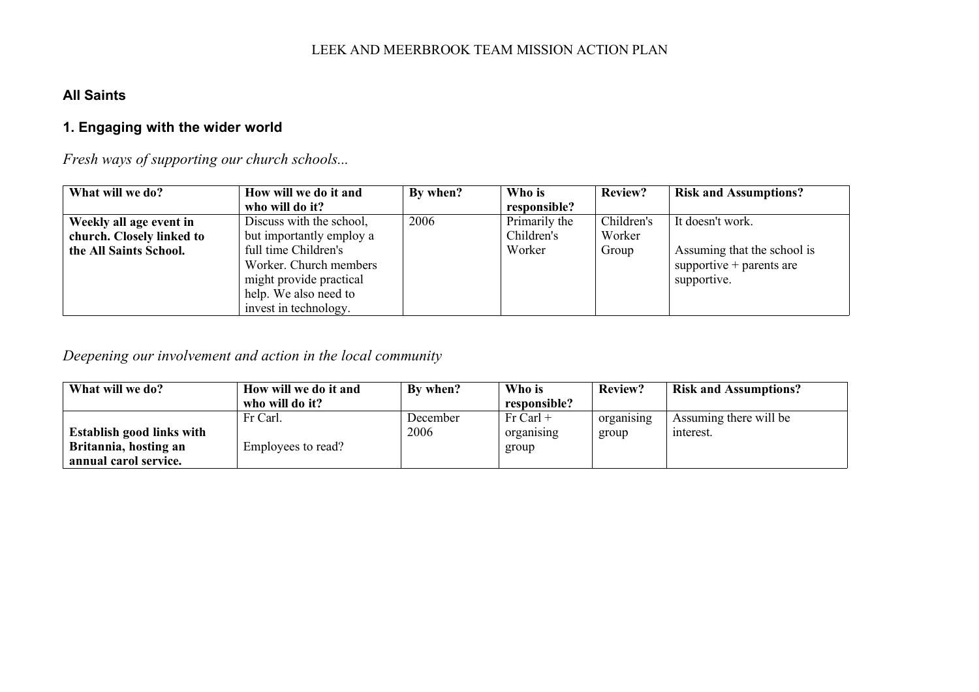## **All Saints**

# **1. Engaging with the wider world**

*Fresh ways of supporting our church schools...*

| What will we do?          | How will we do it and    | By when? | Who is        | <b>Review?</b> | <b>Risk and Assumptions?</b> |
|---------------------------|--------------------------|----------|---------------|----------------|------------------------------|
|                           | who will do it?          |          | responsible?  |                |                              |
| Weekly all age event in   | Discuss with the school, | 2006     | Primarily the | Children's     | It doesn't work.             |
| church. Closely linked to | but importantly employ a |          | Children's    | Worker         |                              |
| the All Saints School.    | full time Children's     |          | Worker        | Group          | Assuming that the school is  |
|                           | Worker. Church members   |          |               |                | supportive $+$ parents are   |
|                           | might provide practical  |          |               |                | supportive.                  |
|                           | help. We also need to    |          |               |                |                              |
|                           | invest in technology.    |          |               |                |                              |

*Deepening our involvement and action in the local community*

| What will we do?                 | How will we do it and | By when? | Who is       | <b>Review?</b> | <b>Risk and Assumptions?</b> |
|----------------------------------|-----------------------|----------|--------------|----------------|------------------------------|
|                                  | who will do it?       |          | responsible? |                |                              |
|                                  | Fr Carl.              | December | $Fr$ Carl +  | organising     | Assuming there will be       |
| <b>Establish good links with</b> |                       | 2006     | organising   | group          | interest.                    |
| Britannia, hosting an            | Employees to read?    |          | group        |                |                              |
| annual carol service.            |                       |          |              |                |                              |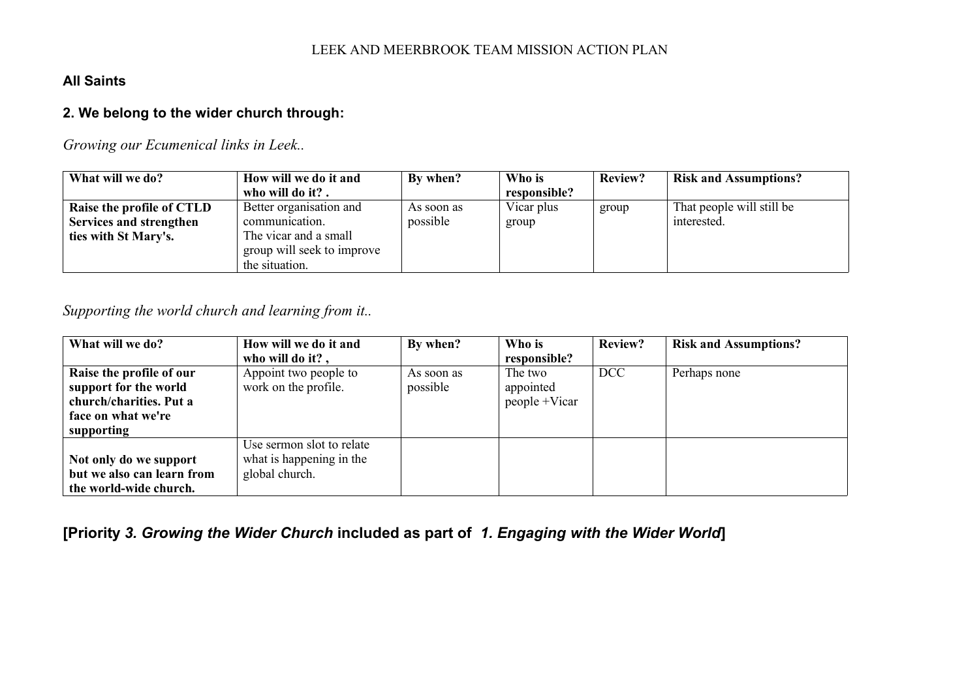#### **All Saints**

### **2. We belong to the wider church through:**

## *Growing our Ecumenical links in Leek..*

| What will we do?          | How will we do it and      | By when?   | Who is       | Review? | <b>Risk and Assumptions?</b> |
|---------------------------|----------------------------|------------|--------------|---------|------------------------------|
|                           | who will do it?.           |            | responsible? |         |                              |
| Raise the profile of CTLD | Better organisation and    | As soon as | Vicar plus   | group   | That people will still be    |
| Services and strengthen   | communication.             | possible   | group        |         | interested.                  |
| ties with St Mary's.      | The vicar and a small      |            |              |         |                              |
|                           | group will seek to improve |            |              |         |                              |
|                           | the situation.             |            |              |         |                              |

*Supporting the world church and learning from it..*

| What will we do?           | How will we do it and     | By when?   | Who is        | Review?    | <b>Risk and Assumptions?</b> |
|----------------------------|---------------------------|------------|---------------|------------|------------------------------|
|                            | who will do it?,          |            | responsible?  |            |                              |
| Raise the profile of our   | Appoint two people to     | As soon as | The two       | <b>DCC</b> | Perhaps none                 |
| support for the world      | work on the profile.      | possible   | appointed     |            |                              |
| church/charities. Put a    |                           |            | people +Vicar |            |                              |
| face on what we're         |                           |            |               |            |                              |
| supporting                 |                           |            |               |            |                              |
|                            | Use sermon slot to relate |            |               |            |                              |
| Not only do we support     | what is happening in the  |            |               |            |                              |
| but we also can learn from | global church.            |            |               |            |                              |
| the world-wide church.     |                           |            |               |            |                              |

**[Priority** *3. Growing the Wider Church* **included as part of** *1. Engaging with the Wider World***]**